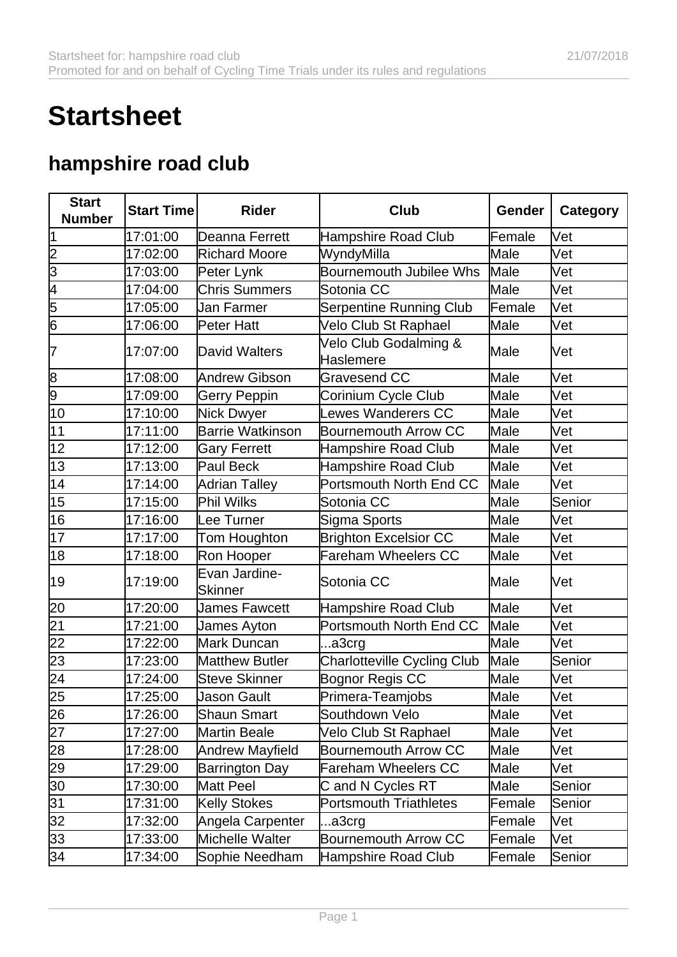## **Startsheet**

## **hampshire road club**

| <b>Start</b>    | <b>Start Time</b> | <b>Rider</b>                    | Club                                      | Gender | <b>Category</b> |
|-----------------|-------------------|---------------------------------|-------------------------------------------|--------|-----------------|
| <b>Number</b>   |                   |                                 |                                           |        |                 |
| 1               | 17:01:00          | Deanna Ferrett                  | <b>Hampshire Road Club</b>                | Female | Vet             |
| 2               | 17:02:00          | <b>Richard Moore</b>            | WyndyMilla                                | Male   | Vet             |
| $\overline{3}$  | 17:03:00          | Peter Lynk                      | <b>Bournemouth Jubilee Whs</b>            | Male   | Vet             |
| 4               | 17:04:00          | <b>Chris Summers</b>            | Sotonia CC                                | Male   | Vet             |
| 5               | 17:05:00          | Jan Farmer                      | <b>Serpentine Running Club</b>            | Female | Vet             |
| 6               | 17:06:00          | <b>Peter Hatt</b>               | Velo Club St Raphael                      | Male   | Vet             |
| 7               | 17:07:00          | David Walters                   | Velo Club Godalming &<br><b>Haslemere</b> | Male   | Vet             |
| 8               | 17:08:00          | Andrew Gibson                   | <b>Gravesend CC</b>                       | Male   | Vet             |
| 9               | 17:09:00          | <b>Gerry Peppin</b>             | Corinium Cycle Club                       | Male   | Vet             |
| 10              | 17:10:00          | Nick Dwyer                      | Lewes Wanderers CC                        | Male   | Vet             |
| 11              | 17:11:00          | Barrie Watkinson                | <b>Bournemouth Arrow CC</b>               | Male   | Vet             |
| 12              | 17:12:00          | <b>Gary Ferrett</b>             | <b>Hampshire Road Club</b>                | Male   | Vet             |
| 13              | 17:13:00          | Paul Beck                       | <b>Hampshire Road Club</b>                | Male   | Vet             |
| 14              | 17:14:00          | Adrian Talley                   | Portsmouth North End CC                   | Male   | Vet             |
| 15              | 17:15:00          | Phil Wilks                      | Sotonia CC                                | Male   | Senior          |
| 16              | 17:16:00          | Lee Turner                      | Sigma Sports                              | Male   | Vet             |
| 17              | 17:17:00          | Tom Houghton                    | <b>Brighton Excelsior CC</b>              | Male   | Vet             |
| 18              | 17:18:00          | Ron Hooper                      | <b>Fareham Wheelers CC</b>                | Male   | Vet             |
| 19              | 17:19:00          | Evan Jardine-<br><b>Skinner</b> | Sotonia CC                                | Male   | Vet             |
| 20              | 17:20:00          | <b>James Fawcett</b>            | <b>Hampshire Road Club</b>                | Male   | Vet             |
| 21              | 17:21:00          | James Ayton                     | Portsmouth North End CC                   | Male   | Vet             |
| $\overline{22}$ | 17:22:00          | Mark Duncan                     | a3crg                                     | Male   | Vet             |
| 23              | 17:23:00          | <b>Matthew Butler</b>           | <b>Charlotteville Cycling Club</b>        | Male   | Senior          |
| 24              | 17:24:00          | <b>Steve Skinner</b>            | Bognor Regis CC                           | Male   | Vet             |
| 25              | 17:25:00          | <b>Jason Gault</b>              | Primera-Teamjobs                          | Male   | Vet             |
| 26              | 17:26:00          | <b>Shaun Smart</b>              | Southdown Velo                            | Male   | Vet             |
| 27              | 17:27:00          | <b>Martin Beale</b>             | Velo Club St Raphael                      | Male   | Vet             |
| 28              | 17:28:00          | <b>Andrew Mayfield</b>          | <b>Bournemouth Arrow CC</b>               | Male   | Vet             |
| 29              | 17:29:00          | <b>Barrington Day</b>           | Fareham Wheelers CC                       | Male   | Vet             |
| 30              | 17:30:00          | Matt Peel                       | C and N Cycles RT                         | Male   | Senior          |
| $\overline{31}$ | 17:31:00          | <b>Kelly Stokes</b>             | <b>Portsmouth Triathletes</b>             | Female | Senior          |
| 32              | 17:32:00          | Angela Carpenter                | a3crg                                     | Female | Vet             |
| 33              | 17:33:00          | Michelle Walter                 | Bournemouth Arrow CC                      | Female | Vet             |
| 34              | 17:34:00          | Sophie Needham                  | <b>Hampshire Road Club</b>                | Female | Senior          |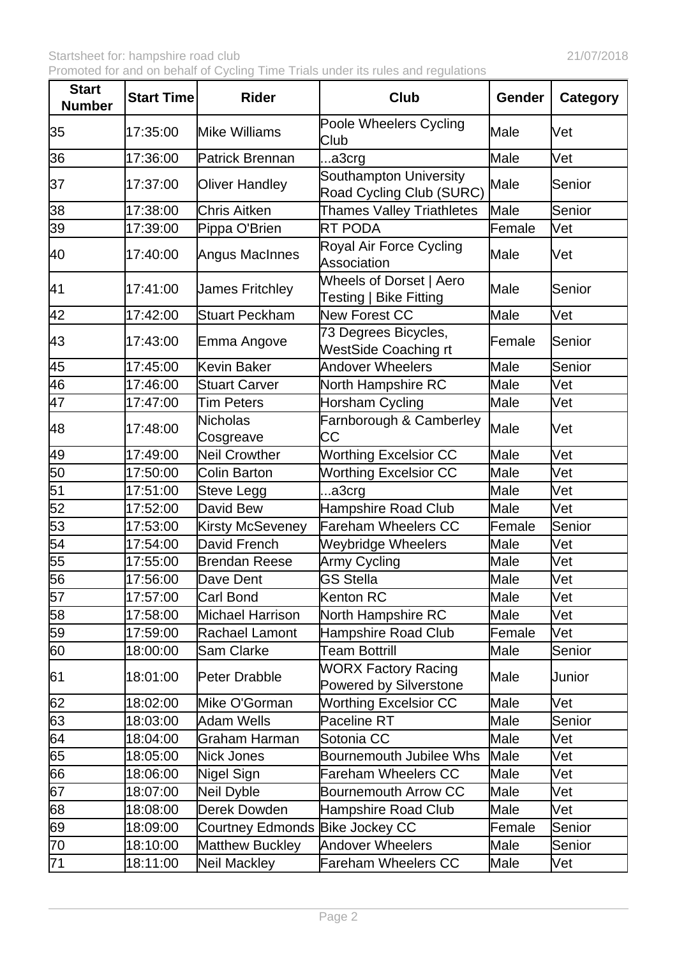| <b>Start</b><br><b>Number</b> | <b>Start Time</b> | <b>Rider</b>                    | <b>Club</b>                                          | Gender | <b>Category</b> |
|-------------------------------|-------------------|---------------------------------|------------------------------------------------------|--------|-----------------|
| 35                            | 17:35:00          | <b>Mike Williams</b>            | Poole Wheelers Cycling<br>Club                       | Male   | Vet             |
| 36                            | 17:36:00          | Patrick Brennan                 | a3crg                                                | Male   | Vet             |
| 37                            | 17:37:00          | <b>Oliver Handley</b>           | Southampton University<br>Road Cycling Club (SURC)   | Male   | Senior          |
| 38                            | 17:38:00          | <b>Chris Aitken</b>             | Thames Valley Triathletes                            | Male   | Senior          |
| 39                            | 17:39:00          | Pippa O'Brien                   | <b>RT PODA</b>                                       | Female | Vet             |
| 40                            | 17:40:00          | Angus MacInnes                  | Royal Air Force Cycling<br><b>Association</b>        | Male   | Vet             |
| 41                            | 17:41:00          | James Fritchley                 | Wheels of Dorset   Aero<br>Testing   Bike Fitting    | Male   | Senior          |
| 42                            | 17:42:00          | <b>Stuart Peckham</b>           | <b>New Forest CC</b>                                 | Male   | Vet             |
| 43                            | 17:43:00          | Emma Angove                     | 73 Degrees Bicycles,<br><b>WestSide Coaching rt</b>  | Female | Senior          |
| 45                            | 17:45:00          | Kevin Baker                     | <b>Andover Wheelers</b>                              | Male   | Senior          |
| 46                            | 17:46:00          | <b>Stuart Carver</b>            | North Hampshire RC                                   | Male   | Vet             |
| 47                            | 17:47:00          | <b>Tim Peters</b>               | <b>Horsham Cycling</b>                               | Male   | Vet             |
| 48                            | 17:48:00          | <b>Nicholas</b><br>Cosgreave    | Farnborough & Camberley<br><b>CC</b>                 | Male   | Vet             |
| 49                            | 17:49:00          | <b>Neil Crowther</b>            | <b>Worthing Excelsior CC</b>                         | Male   | Vet             |
| 50                            | 17:50:00          | <b>Colin Barton</b>             | <b>Worthing Excelsior CC</b>                         | Male   | Vet             |
| 51                            | 17:51:00          | Steve Legg                      | a3crg                                                | Male   | Vet             |
| 52                            | 17:52:00          | David Bew                       | <b>Hampshire Road Club</b>                           | Male   | Vet             |
| 53                            | 17:53:00          | <b>Kirsty McSeveney</b>         | <b>Fareham Wheelers CC</b>                           | Female | Senior          |
| 54                            | 17:54:00          | David French                    | <b>Weybridge Wheelers</b>                            | Male   | Vet             |
| 55                            | 17:55:00          | <b>Brendan Reese</b>            | Army Cycling                                         | Male   | Vet             |
| 56                            | 17:56:00          | Dave Dent                       | <b>GS Stella</b>                                     | Male   | Vet             |
| 57                            | 17:57:00          | Carl Bond                       | <b>Kenton RC</b>                                     | Male   | Vet             |
| 58                            | 17:58:00          | <b>Michael Harrison</b>         | North Hampshire RC                                   | Male   | Vet             |
| 59                            | 17:59:00          | Rachael Lamont                  | Hampshire Road Club                                  | Female | Vet             |
| 60                            | 18:00:00          | Sam Clarke                      | <b>Team Bottrill</b>                                 | Male   | Senior          |
| 61                            | 18:01:00          | Peter Drabble                   | <b>WORX Factory Racing</b><br>Powered by Silverstone | Male   | Junior          |
| 62                            | 18:02:00          | Mike O'Gorman                   | <b>Worthing Excelsior CC</b>                         | Male   | Vet             |
| 63                            | 18:03:00          | <b>Adam Wells</b>               | Paceline RT                                          | Male   | Senior          |
| 64                            | 18:04:00          | Graham Harman                   | Sotonia CC                                           | Male   | Vet             |
| 65                            | 18:05:00          | <b>Nick Jones</b>               | <b>Bournemouth Jubilee Whs</b>                       | Male   | Vet             |
| 66                            | 18:06:00          | Nigel Sign                      | <b>Fareham Wheelers CC</b>                           | Male   | Vet             |
| 67                            | 18:07:00          | Neil Dyble                      | <b>Bournemouth Arrow CC</b>                          | Male   | Vet             |
| 68                            | 18:08:00          | Derek Dowden                    | Hampshire Road Club                                  | Male   | Vet             |
| 69                            | 18:09:00          | Courtney Edmonds Bike Jockey CC |                                                      | Female | Senior          |
| 70                            | 18:10:00          | Matthew Buckley                 | <b>Andover Wheelers</b>                              | Male   | Senior          |
| $\overline{71}$               | 18:11:00          | <b>Neil Mackley</b>             | <b>Fareham Wheelers CC</b>                           | Male   | Vet             |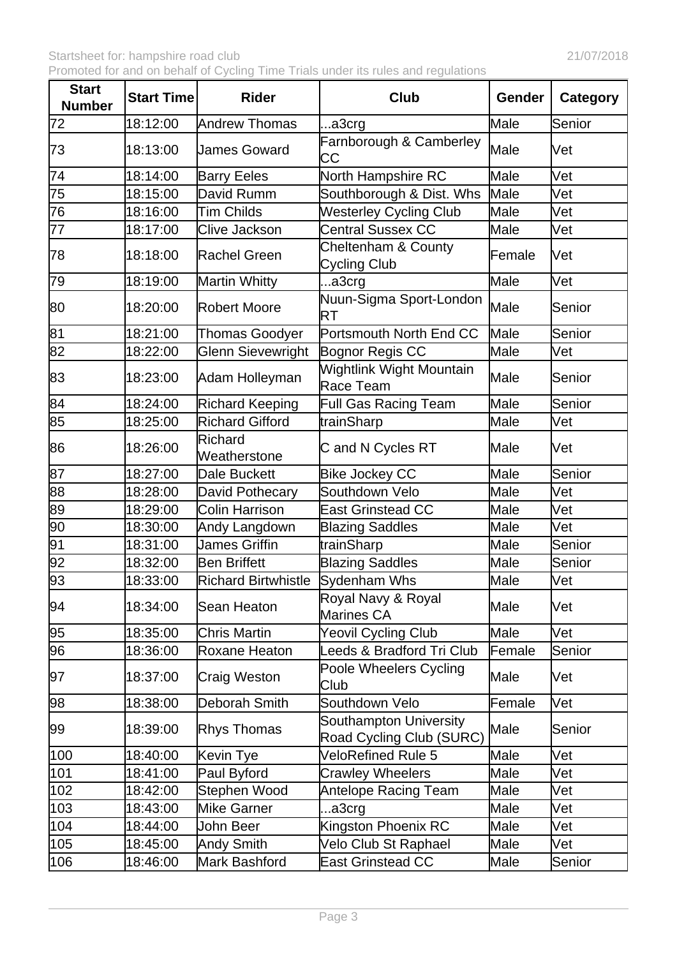| <b>Start</b><br><b>Number</b> | <b>Start Time</b> | <b>Rider</b>               | <b>Club</b>                                        | Gender | <b>Category</b> |
|-------------------------------|-------------------|----------------------------|----------------------------------------------------|--------|-----------------|
| 72                            | 18:12:00          | Andrew Thomas              | a3crg                                              | Male   | Senior          |
| 73                            | 18:13:00          | James Goward               | Farnborough & Camberley<br>СC                      | Male   | Vet             |
| 74                            | 18:14:00          | <b>Barry Eeles</b>         | North Hampshire RC                                 | Male   | Vet             |
| 75                            | 18:15:00          | David Rumm                 | Southborough & Dist. Whs                           | Male   | Vet             |
| 76                            | 18:16:00          | Tim Childs                 | <b>Westerley Cycling Club</b>                      | Male   | Vet             |
| 77                            | 18:17:00          | <b>Clive Jackson</b>       | <b>Central Sussex CC</b>                           | Male   | Vet             |
| 78                            | 18:18:00          | Rachel Green               | Cheltenham & County<br><b>Cycling Club</b>         | Female | Vet             |
| 79                            | 18:19:00          | Martin Whitty              | a3crg                                              | Male   | Vet             |
| 80                            | 18:20:00          | <b>Robert Moore</b>        | Nuun-Sigma Sport-London<br>RT                      | Male   | Senior          |
| 81                            | 18:21:00          | <b>Thomas Goodyer</b>      | Portsmouth North End CC                            | Male   | Senior          |
| $\overline{82}$               | 18:22:00          | <b>Glenn Sievewright</b>   | Bognor Regis CC                                    | Male   | Vet             |
| 83                            | 18:23:00          | Adam Holleyman             | <b>Wightlink Wight Mountain</b><br>Race Team       | Male   | Senior          |
| 84                            | 18:24:00          | Richard Keeping            | <b>Full Gas Racing Team</b>                        | Male   | Senior          |
| 85                            | 18:25:00          | Richard Gifford            | trainSharp                                         | Male   | Vet             |
| 86                            | 18:26:00          | Richard<br>Weatherstone    | C and N Cycles RT                                  | Male   | Vet             |
| 87                            | 18:27:00          | Dale Buckett               | <b>Bike Jockey CC</b>                              | Male   | Senior          |
| 88                            | 18:28:00          | David Pothecary            | Southdown Velo                                     | Male   | Vet             |
| 89                            | 18:29:00          | <b>Colin Harrison</b>      | <b>East Grinstead CC</b>                           | Male   | Vet             |
| $\overline{90}$               | 18:30:00          | Andy Langdown              | <b>Blazing Saddles</b>                             | Male   | Vet             |
| 91                            | 18:31:00          | <b>James Griffin</b>       | trainSharp                                         | Male   | Senior          |
| $\overline{92}$               | 18:32:00          | Ben Briffett               | <b>Blazing Saddles</b>                             | Male   | Senior          |
| 93                            | 18:33:00          | <b>Richard Birtwhistle</b> | Sydenham Whs                                       | Male   | Vet             |
| 94                            | 18:34:00          | Sean Heaton                | Royal Navy & Royal<br>Marines CA                   | Male   | Vet             |
| 95                            | 18:35:00          | <b>Chris Martin</b>        | Yeovil Cycling Club                                | Male   | Vet             |
| 96                            | 18:36:00          | Roxane Heaton              | Leeds & Bradford Tri Club                          | Female | Senior          |
| 97                            | 18:37:00          | Craig Weston               | Poole Wheelers Cycling<br>Club                     | Male   | Vet             |
| 98                            | 18:38:00          | Deborah Smith              | Southdown Velo                                     | Female | Vet             |
| 99                            | 18:39:00          | <b>Rhys Thomas</b>         | Southampton University<br>Road Cycling Club (SURC) | Male   | Senior          |
| 100                           | 18:40:00          | Kevin Tye                  | <b>VeloRefined Rule 5</b>                          | Male   | Vet             |
| 101                           | 18:41:00          | Paul Byford                | <b>Crawley Wheelers</b>                            | Male   | Vet             |
| 102                           | 18:42:00          | Stephen Wood               | <b>Antelope Racing Team</b>                        | Male   | Vet             |
| 103                           | 18:43:00          | Mike Garner                | a3crg                                              | Male   | Vet             |
| 104                           | 18:44:00          | John Beer                  | Kingston Phoenix RC                                | Male   | Vet             |
| 105                           | 18:45:00          | Andy Smith                 | Velo Club St Raphael                               | Male   | Vet             |
| 106                           | 18:46:00          | Mark Bashford              | <b>East Grinstead CC</b>                           | Male   | Senior          |